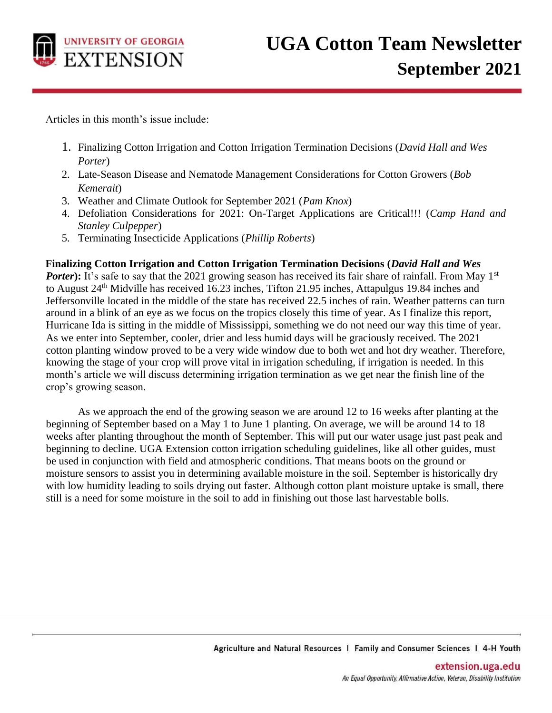

Articles in this month's issue include:

- 1. Finalizing Cotton Irrigation and Cotton Irrigation Termination Decisions (*David Hall and Wes Porter*)
- 2. Late-Season Disease and Nematode Management Considerations for Cotton Growers (*Bob Kemerait*)
- 3. Weather and Climate Outlook for September 2021 (*Pam Knox*)
- 4. Defoliation Considerations for 2021: On-Target Applications are Critical!!! (*Camp Hand and Stanley Culpepper*)
- 5. Terminating Insecticide Applications (*Phillip Roberts*)

#### **Finalizing Cotton Irrigation and Cotton Irrigation Termination Decisions (***David Hall and Wes*

*Porter*): It's safe to say that the 2021 growing season has received its fair share of rainfall. From May 1<sup>st</sup> to August 24<sup>th</sup> Midville has received 16.23 inches, Tifton 21.95 inches, Attapulgus 19.84 inches and Jeffersonville located in the middle of the state has received 22.5 inches of rain. Weather patterns can turn around in a blink of an eye as we focus on the tropics closely this time of year. As I finalize this report, Hurricane Ida is sitting in the middle of Mississippi, something we do not need our way this time of year. As we enter into September, cooler, drier and less humid days will be graciously received. The 2021 cotton planting window proved to be a very wide window due to both wet and hot dry weather. Therefore, knowing the stage of your crop will prove vital in irrigation scheduling, if irrigation is needed. In this month's article we will discuss determining irrigation termination as we get near the finish line of the crop's growing season.

As we approach the end of the growing season we are around 12 to 16 weeks after planting at the beginning of September based on a May 1 to June 1 planting. On average, we will be around 14 to 18 weeks after planting throughout the month of September. This will put our water usage just past peak and beginning to decline. UGA Extension cotton irrigation scheduling guidelines, like all other guides, must be used in conjunction with field and atmospheric conditions. That means boots on the ground or moisture sensors to assist you in determining available moisture in the soil. September is historically dry with low humidity leading to soils drying out faster. Although cotton plant moisture uptake is small, there still is a need for some moisture in the soil to add in finishing out those last harvestable bolls.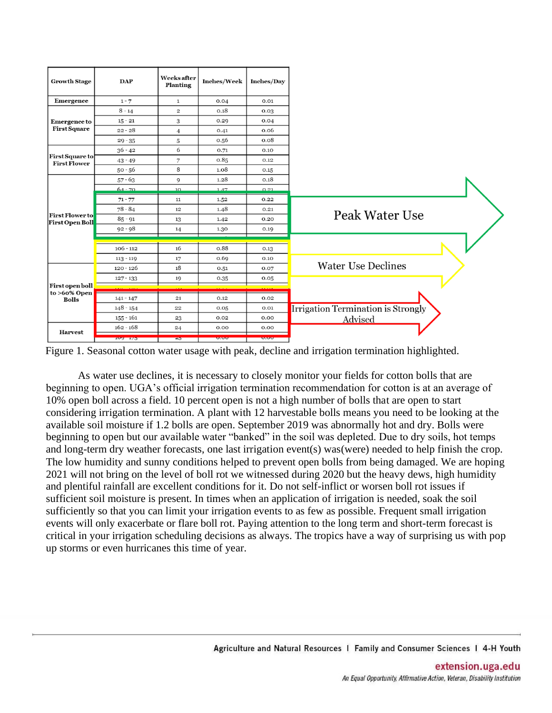| <b>Growth Stage</b>                              | <b>DAP</b>  | <b>Weeks</b> after<br>Planting | Inches/Week | Inches/Day                                        |                                    |
|--------------------------------------------------|-------------|--------------------------------|-------------|---------------------------------------------------|------------------------------------|
| <b>Emergence</b>                                 | $1 - 7$     | $\mathbf{1}$                   | 0.04        | 0.01                                              |                                    |
|                                                  | $8 - 14$    | $\overline{\mathbf{c}}$        | 0.18        | 0.03                                              |                                    |
| <b>Emergence to</b>                              | $15 - 21$   | 3                              | 0.29        | 0.04                                              |                                    |
| <b>First Square</b>                              | $22 - 28$   | 4                              | 0.41        | 0.06                                              |                                    |
|                                                  | $29 - 35$   | 5                              | 0.56        | 0.08                                              |                                    |
|                                                  | $36 - 42$   | 6                              | 0.71        | 0.10                                              |                                    |
| First Square to<br><b>First Flower</b>           | $43 - 49$   | 7                              | 0.85        | 0.12                                              |                                    |
|                                                  | $50 - 56$   | 8                              | 1.08        | 0.15                                              |                                    |
|                                                  | $57 - 63$   | 9                              | 1.28        | 0.18                                              |                                    |
|                                                  | $64 - 70$   | 10                             | 147         | 0.21                                              |                                    |
|                                                  | $71 - 77$   | 11                             | 1.52        | 0.22                                              |                                    |
|                                                  | $78 - 84$   | 12                             | 1.48        | 0.21                                              | Peak Water Use                     |
| <b>First Flower to</b><br><b>First Open Boll</b> | $85 - 91$   | 13                             | 1.42        | 0.20                                              |                                    |
|                                                  | $92 - 98$   | 14                             | 1.30        | 0.19                                              |                                    |
|                                                  |             |                                |             |                                                   |                                    |
|                                                  | $106 - 112$ | 16                             | 0.88        | 0.13                                              |                                    |
|                                                  | $113 - 119$ | 17                             | 0.69        | 0.10                                              |                                    |
|                                                  | $120 - 126$ | 18                             | 0.51        | 0.07                                              | <b>Water Use Declines</b>          |
|                                                  | $127 - 133$ | 19                             | 0.35        | 0.05                                              |                                    |
| <b>First open boll</b><br>to >60% Open           |             |                                |             |                                                   |                                    |
| <b>Bolls</b>                                     | $141 - 147$ | 21                             | 0.12        | 0.02                                              |                                    |
|                                                  | $148 - 154$ | 22                             | 0.05        | 0.01                                              | Irrigation Termination is Strongly |
|                                                  | $155 - 161$ | 23                             | 0.02        | 0.00                                              | Advised                            |
| <b>Harvest</b>                                   | $162 - 168$ | 24                             | 0.00        | 0.00                                              |                                    |
|                                                  | $109 - 1/3$ | $-5$                           | 0.00        | $\overline{\mathbf{v}}\cdot\overline{\mathbf{v}}$ |                                    |

Figure 1. Seasonal cotton water usage with peak, decline and irrigation termination highlighted.

As water use declines, it is necessary to closely monitor your fields for cotton bolls that are beginning to open. UGA's official irrigation termination recommendation for cotton is at an average of 10% open boll across a field. 10 percent open is not a high number of bolls that are open to start considering irrigation termination. A plant with 12 harvestable bolls means you need to be looking at the available soil moisture if 1.2 bolls are open. September 2019 was abnormally hot and dry. Bolls were beginning to open but our available water "banked" in the soil was depleted. Due to dry soils, hot temps and long-term dry weather forecasts, one last irrigation event(s) was(were) needed to help finish the crop. The low humidity and sunny conditions helped to prevent open bolls from being damaged. We are hoping 2021 will not bring on the level of boll rot we witnessed during 2020 but the heavy dews, high humidity and plentiful rainfall are excellent conditions for it. Do not self-inflict or worsen boll rot issues if sufficient soil moisture is present. In times when an application of irrigation is needed, soak the soil sufficiently so that you can limit your irrigation events to as few as possible. Frequent small irrigation events will only exacerbate or flare boll rot. Paying attention to the long term and short-term forecast is critical in your irrigation scheduling decisions as always. The tropics have a way of surprising us with pop up storms or even hurricanes this time of year.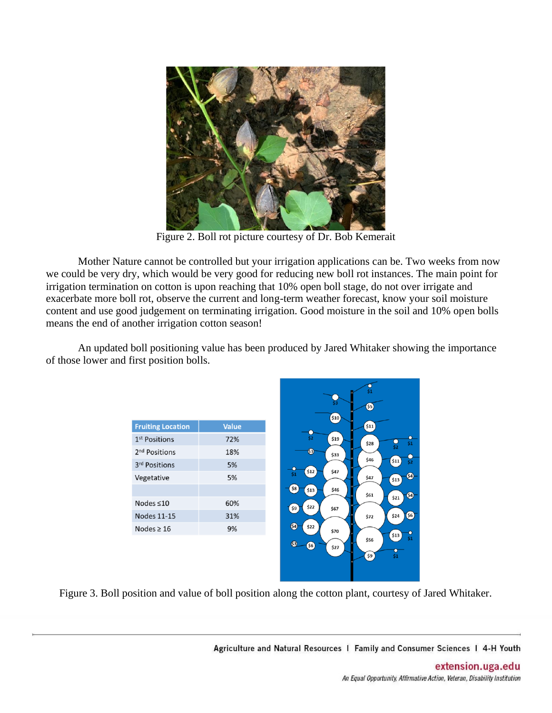

Figure 2. Boll rot picture courtesy of Dr. Bob Kemerait

Mother Nature cannot be controlled but your irrigation applications can be. Two weeks from now we could be very dry, which would be very good for reducing new boll rot instances. The main point for irrigation termination on cotton is upon reaching that 10% open boll stage, do not over irrigate and exacerbate more boll rot, observe the current and long-term weather forecast, know your soil moisture content and use good judgement on terminating irrigation. Good moisture in the soil and 10% open bolls means the end of another irrigation cotton season!

An updated boll positioning value has been produced by Jared Whitaker showing the importance of those lower and first position bolls.

| <b>Fruiting Location</b>  | <b>Value</b> |
|---------------------------|--------------|
| 1 <sup>st</sup> Positions | 72%          |
| 2 <sup>nd</sup> Positions | 18%          |
| 3 <sup>rd</sup> Positions | 5%           |
| Vegetative                | 5%           |
|                           |              |
| Nodes $\leq 10$           | 60%          |
| <b>Nodes 11-15</b>        | 31%          |
| Nodes $> 16$              | 9%           |
|                           |              |



Figure 3. Boll position and value of boll position along the cotton plant, courtesy of Jared Whitaker.

Agriculture and Natural Resources | Family and Consumer Sciences | 4-H Youth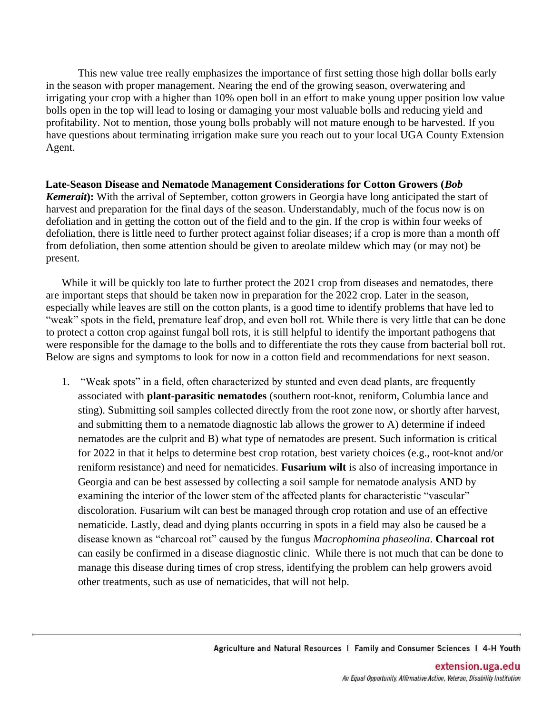This new value tree really emphasizes the importance of first setting those high dollar bolls early in the season with proper management. Nearing the end of the growing season, overwatering and irrigating your crop with a higher than 10% open boll in an effort to make young upper position low value bolls open in the top will lead to losing or damaging your most valuable bolls and reducing yield and profitability. Not to mention, those young bolls probably will not mature enough to be harvested. If you have questions about terminating irrigation make sure you reach out to your local UGA County Extension Agent.

### **Late-Season Disease and Nematode Management Considerations for Cotton Growers (***Bob Kemerait***):** With the arrival of September, cotton growers in Georgia have long anticipated the start of harvest and preparation for the final days of the season. Understandably, much of the focus now is on defoliation and in getting the cotton out of the field and to the gin. If the crop is within four weeks of defoliation, there is little need to further protect against foliar diseases; if a crop is more than a month off from defoliation, then some attention should be given to areolate mildew which may (or may not) be present.

While it will be quickly too late to further protect the 2021 crop from diseases and nematodes, there are important steps that should be taken now in preparation for the 2022 crop. Later in the season, especially while leaves are still on the cotton plants, is a good time to identify problems that have led to "weak" spots in the field, premature leaf drop, and even boll rot. While there is very little that can be done to protect a cotton crop against fungal boll rots, it is still helpful to identify the important pathogens that were responsible for the damage to the bolls and to differentiate the rots they cause from bacterial boll rot. Below are signs and symptoms to look for now in a cotton field and recommendations for next season.

1. "Weak spots" in a field, often characterized by stunted and even dead plants, are frequently associated with **plant-parasitic nematodes** (southern root-knot, reniform, Columbia lance and sting). Submitting soil samples collected directly from the root zone now, or shortly after harvest, and submitting them to a nematode diagnostic lab allows the grower to A) determine if indeed nematodes are the culprit and B) what type of nematodes are present. Such information is critical for 2022 in that it helps to determine best crop rotation, best variety choices (e.g., root-knot and/or reniform resistance) and need for nematicides. **Fusarium wilt** is also of increasing importance in Georgia and can be best assessed by collecting a soil sample for nematode analysis AND by examining the interior of the lower stem of the affected plants for characteristic "vascular" discoloration. Fusarium wilt can best be managed through crop rotation and use of an effective nematicide. Lastly, dead and dying plants occurring in spots in a field may also be caused be a disease known as "charcoal rot" caused by the fungus *Macrophomina phaseolina*. **Charcoal rot** can easily be confirmed in a disease diagnostic clinic. While there is not much that can be done to manage this disease during times of crop stress, identifying the problem can help growers avoid other treatments, such as use of nematicides, that will not help.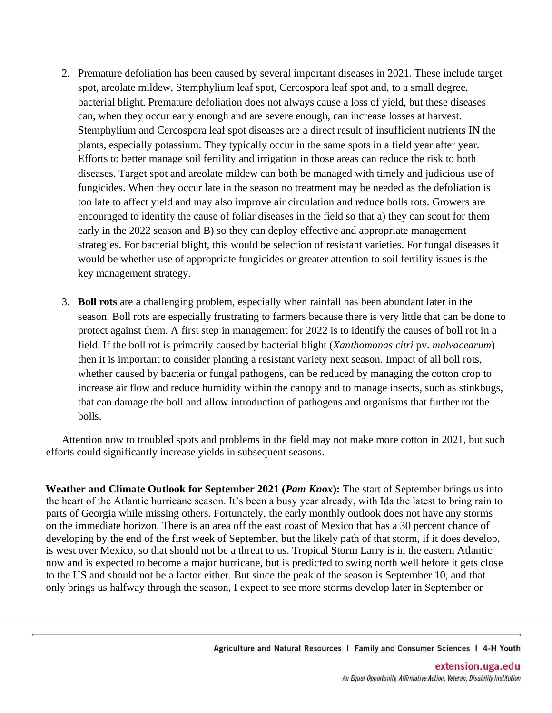- 2. Premature defoliation has been caused by several important diseases in 2021. These include target spot, areolate mildew, Stemphylium leaf spot, Cercospora leaf spot and, to a small degree, bacterial blight. Premature defoliation does not always cause a loss of yield, but these diseases can, when they occur early enough and are severe enough, can increase losses at harvest. Stemphylium and Cercospora leaf spot diseases are a direct result of insufficient nutrients IN the plants, especially potassium. They typically occur in the same spots in a field year after year. Efforts to better manage soil fertility and irrigation in those areas can reduce the risk to both diseases. Target spot and areolate mildew can both be managed with timely and judicious use of fungicides. When they occur late in the season no treatment may be needed as the defoliation is too late to affect yield and may also improve air circulation and reduce bolls rots. Growers are encouraged to identify the cause of foliar diseases in the field so that a) they can scout for them early in the 2022 season and B) so they can deploy effective and appropriate management strategies. For bacterial blight, this would be selection of resistant varieties. For fungal diseases it would be whether use of appropriate fungicides or greater attention to soil fertility issues is the key management strategy.
- 3. **Boll rots** are a challenging problem, especially when rainfall has been abundant later in the season. Boll rots are especially frustrating to farmers because there is very little that can be done to protect against them. A first step in management for 2022 is to identify the causes of boll rot in a field. If the boll rot is primarily caused by bacterial blight (*Xanthomonas citri* pv. *malvacearum*) then it is important to consider planting a resistant variety next season. Impact of all boll rots, whether caused by bacteria or fungal pathogens, can be reduced by managing the cotton crop to increase air flow and reduce humidity within the canopy and to manage insects, such as stinkbugs, that can damage the boll and allow introduction of pathogens and organisms that further rot the bolls.

Attention now to troubled spots and problems in the field may not make more cotton in 2021, but such efforts could significantly increase yields in subsequent seasons.

**Weather and Climate Outlook for September 2021 (***Pam Knox***):** The start of September brings us into the heart of the Atlantic hurricane season. It's been a busy year already, with Ida the latest to bring rain to parts of Georgia while missing others. Fortunately, the early monthly outlook does not have any storms on the immediate horizon. There is an area off the east coast of Mexico that has a 30 percent chance of developing by the end of the first week of September, but the likely path of that storm, if it does develop, is west over Mexico, so that should not be a threat to us. Tropical Storm Larry is in the eastern Atlantic now and is expected to become a major hurricane, but is predicted to swing north well before it gets close to the US and should not be a factor either. But since the peak of the season is September 10, and that only brings us halfway through the season, I expect to see more storms develop later in September or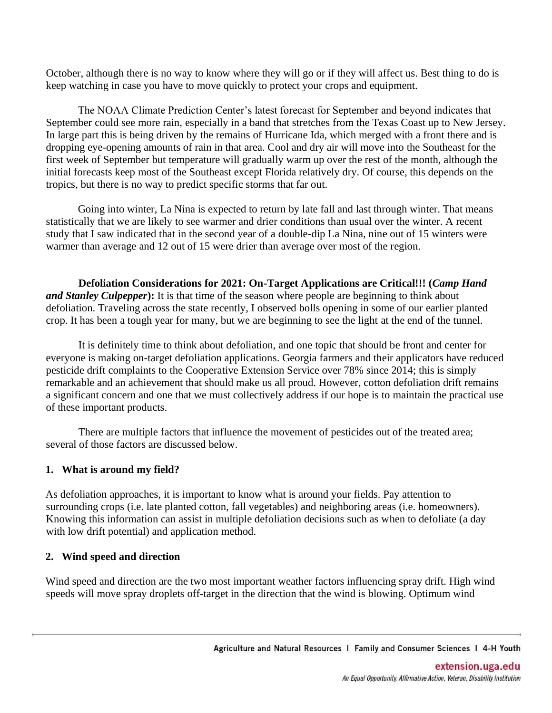October, although there is no way to know where they will go or if they will affect us. Best thing to do is keep watching in case you have to move quickly to protect your crops and equipment.

The NOAA Climate Prediction Center's latest forecast for September and beyond indicates that September could see more rain, especially in a band that stretches from the Texas Coast up to New Jersey. In large part this is being driven by the remains of Hurricane Ida, which merged with a front there and is dropping eye-opening amounts of rain in that area. Cool and dry air will move into the Southeast for the first week of September but temperature will gradually warm up over the rest of the month, although the initial forecasts keep most of the Southeast except Florida relatively dry. Of course, this depends on the tropics, but there is no way to predict specific storms that far out.

Going into winter, La Nina is expected to return by late fall and last through winter. That means statistically that we are likely to see warmer and drier conditions than usual over the winter. A recent study that I saw indicated that in the second year of a double-dip La Nina, nine out of 15 winters were warmer than average and 12 out of 15 were drier than average over most of the region.

**Defoliation Considerations for 2021: On-Target Applications are Critical!!! (***Camp Hand and Stanley Culpepper***):** It is that time of the season where people are beginning to think about defoliation. Traveling across the state recently, I observed bolls opening in some of our earlier planted crop. It has been a tough year for many, but we are beginning to see the light at the end of the tunnel.

It is definitely time to think about defoliation, and one topic that should be front and center for everyone is making on-target defoliation applications. Georgia farmers and their applicators have reduced pesticide drift complaints to the Cooperative Extension Service over 78% since 2014; this is simply remarkable and an achievement that should make us all proud. However, cotton defoliation drift remains a significant concern and one that we must collectively address if our hope is to maintain the practical use of these important products.

There are multiple factors that influence the movement of pesticides out of the treated area; several of those factors are discussed below.

#### **1. What is around my field?**

As defoliation approaches, it is important to know what is around your fields. Pay attention to surrounding crops (i.e. late planted cotton, fall vegetables) and neighboring areas (i.e. homeowners). Knowing this information can assist in multiple defoliation decisions such as when to defoliate (a day with low drift potential) and application method.

#### **2. Wind speed and direction**

Wind speed and direction are the two most important weather factors influencing spray drift. High wind speeds will move spray droplets off-target in the direction that the wind is blowing. Optimum wind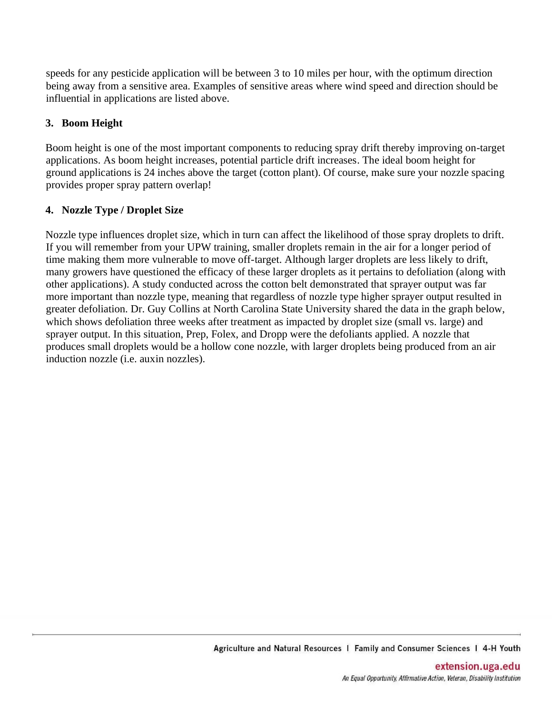speeds for any pesticide application will be between 3 to 10 miles per hour, with the optimum direction being away from a sensitive area. Examples of sensitive areas where wind speed and direction should be influential in applications are listed above.

# **3. Boom Height**

Boom height is one of the most important components to reducing spray drift thereby improving on-target applications. As boom height increases, potential particle drift increases. The ideal boom height for ground applications is 24 inches above the target (cotton plant). Of course, make sure your nozzle spacing provides proper spray pattern overlap!

## **4. Nozzle Type / Droplet Size**

Nozzle type influences droplet size, which in turn can affect the likelihood of those spray droplets to drift. If you will remember from your UPW training, smaller droplets remain in the air for a longer period of time making them more vulnerable to move off-target. Although larger droplets are less likely to drift, many growers have questioned the efficacy of these larger droplets as it pertains to defoliation (along with other applications). A study conducted across the cotton belt demonstrated that sprayer output was far more important than nozzle type, meaning that regardless of nozzle type higher sprayer output resulted in greater defoliation. Dr. Guy Collins at North Carolina State University shared the data in the graph below, which shows defoliation three weeks after treatment as impacted by droplet size (small vs. large) and sprayer output. In this situation, Prep, Folex, and Dropp were the defoliants applied. A nozzle that produces small droplets would be a hollow cone nozzle, with larger droplets being produced from an air induction nozzle (i.e. auxin nozzles).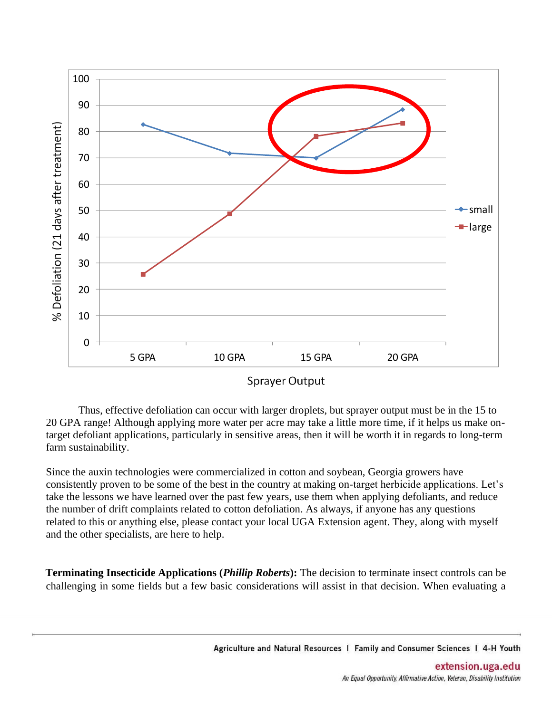

**Sprayer Output** 

Thus, effective defoliation can occur with larger droplets, but sprayer output must be in the 15 to 20 GPA range! Although applying more water per acre may take a little more time, if it helps us make ontarget defoliant applications, particularly in sensitive areas, then it will be worth it in regards to long-term farm sustainability.

Since the auxin technologies were commercialized in cotton and soybean, Georgia growers have consistently proven to be some of the best in the country at making on-target herbicide applications. Let's take the lessons we have learned over the past few years, use them when applying defoliants, and reduce the number of drift complaints related to cotton defoliation. As always, if anyone has any questions related to this or anything else, please contact your local UGA Extension agent. They, along with myself and the other specialists, are here to help.

**Terminating Insecticide Applications (***Phillip Roberts***):** The decision to terminate insect controls can be challenging in some fields but a few basic considerations will assist in that decision. When evaluating a